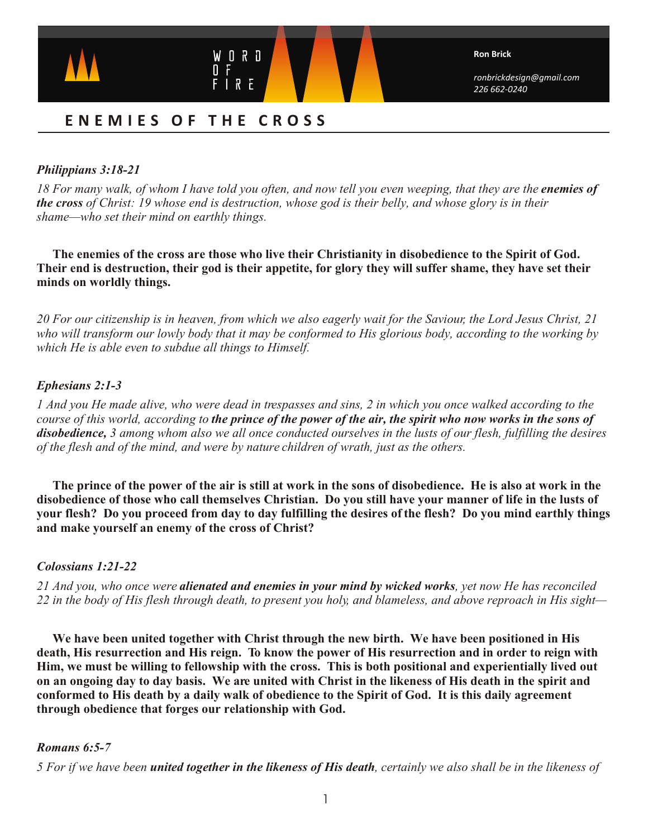

*ronbrickdesign@gmail.com 226 662-0240*

# **ENEMIES O F THE CROSS**

# *Philippians 3:18-21*

*18 For many walk, of whom I have told you often, and now tell you even weeping, that they are the enemies of the cross of Christ: 19 whose end is destruction, whose god is their belly, and whose glory is in their shame—who set their mind on earthly things.* 

 **The enemies of the cross are those who live their Christianity in disobedience to the Spirit of God. Their end is destruction, their god is their appetite, for glory they will suffer shame, they have set their minds on worldly things.**

*20 For our citizenship is in heaven, from which we also eagerly wait for the Saviour, the Lord Jesus Christ, 21 who will transform our lowly body that it may be conformed to His glorious body, according to the working by which He is able even to subdue all things to Himself.*

# *Ephesians 2:1-3*

*1 And you He made alive, who were dead in trespasses and sins, 2 in which you once walked according to the course of this world, according to the prince of the power of the air, the spirit who now works in the sons of disobedience, 3 among whom also we all once conducted ourselves in the lusts of our flesh, fulfilling the desires of the flesh and of the mind, and were by nature children of wrath, just as the others.*

 **The prince of the power of the air is still at work in the sons of disobedience. He is also at work in the disobedience of those who call themselves Christian. Do you still have your manner of life in the lusts of your flesh? Do you proceed from day to day fulfilling the desires of the flesh? Do you mind earthly things and make yourself an enemy of the cross of Christ?**

# *Colossians 1:21-22*

*21 And you, who once were alienated and enemies in your mind by wicked works, yet now He has reconciled 22 in the body of His flesh through death, to present you holy, and blameless, and above reproach in His sight—*

**We have been united together with Christ through the new birth. We have been positioned in His death, His resurrection and His reign. To know the power of His resurrection and in order to reign with Him, we must be willing to fellowship with the cross. This is both positional and experientially lived out on an ongoing day to day basis. We are united with Christ in the likeness of His death in the spirit and conformed to His death by a daily walk of obedience to the Spirit of God. It is this daily agreement through obedience that forges our relationship with God.** 

# *Romans 6:5-7*

*5 For if we have been united together in the likeness of His death, certainly we also shall be in the likeness of*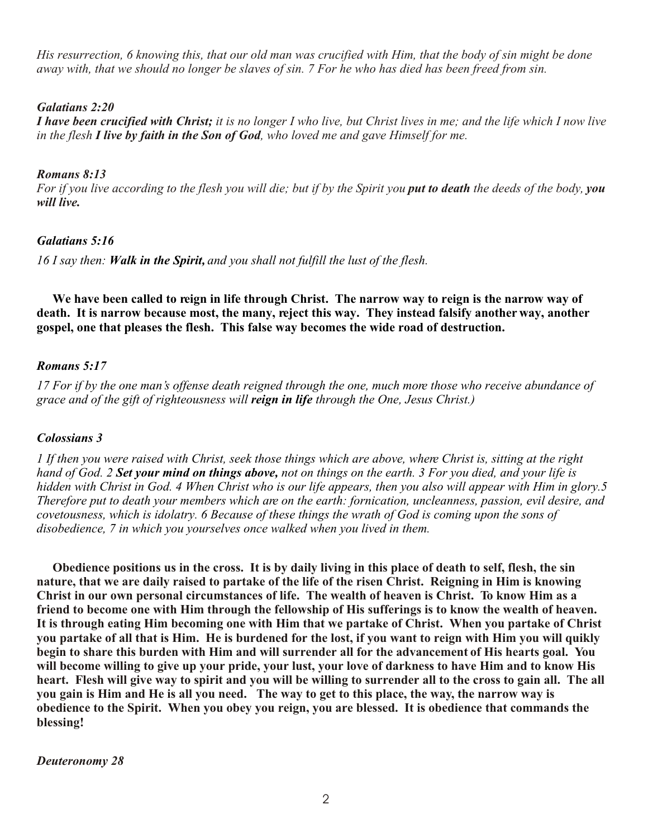*His resurrection, 6 knowing this, that our old man was crucified with Him, that the body of sin might be done away with, that we should no longer be slaves of sin. 7 For he who has died has been freed from sin.*

#### *Galatians 2:20*

*I have been crucified with Christ; it is no longer I who live, but Christ lives in me; and the life which I now live in the flesh I live by faith in the Son of God, who loved me and gave Himself for me.*

### *Romans 8:13*

*For if you live according to the flesh you will die; but if by the Spirit you put to death the deeds of the body, you will live.*

### *Galatians 5:16*

*16 I say then: Walk in the Spirit, and you shall not fulfill the lust of the flesh.*

 **We have been called to reign in life through Christ. The narrow way to reign is the narrow way of death. It is narrow because most, the many, reject this way. They instead falsify another way, another gospel, one that pleases the flesh. This false way becomes the wide road of destruction.**

#### *Romans 5:17*

*17 For if by the one man's offense death reigned through the one, much more those who receive abundance of grace and of the gift of righteousness will reign in life through the One, Jesus Christ.)* 

#### *Colossians 3*

*1 If then you were raised with Christ, seek those things which are above, where Christ is, sitting at the right hand of God. 2 Set your mind on things above, not on things on the earth. 3 For you died, and your life is hidden with Christ in God. 4 When Christ who is our life appears, then you also will appear with Him in glory.5 Therefore put to death your members which are on the earth: fornication, uncleanness, passion, evil desire, and covetousness, which is idolatry. 6 Because of these things the wrath of God is coming upon the sons of disobedience, 7 in which you yourselves once walked when you lived in them.* 

**Obedience positions us in the cross. It is by daily living in this place of death to self, flesh, the sin nature, that we are daily raised to partake of the life of the risen Christ. Reigning in Him is knowing Christ in our own personal circumstances of life. The wealth of heaven is Christ. To know Him as a friend to become one with Him through the fellowship of His sufferings is to know the wealth of heaven. It is through eating Him becoming one with Him that we partake of Christ. When you partake of Christ you partake of all that is Him. He is burdened for the lost, if you want to reign with Him you will quikly begin to share this burden with Him and will surrender all for the advancement of His hearts goal. You will become willing to give up your pride, your lust, your love of darkness to have Him and to know His heart. Flesh will give way to spirit and you will be willing to surrender all to the cross to gain all. The all you gain is Him and He is all you need. The way to get to this place, the way, the narrow way is obedience to the Spirit. When you obey you reign, you are blessed. It is obedience that commands the blessing!**

*Deuteronomy 28*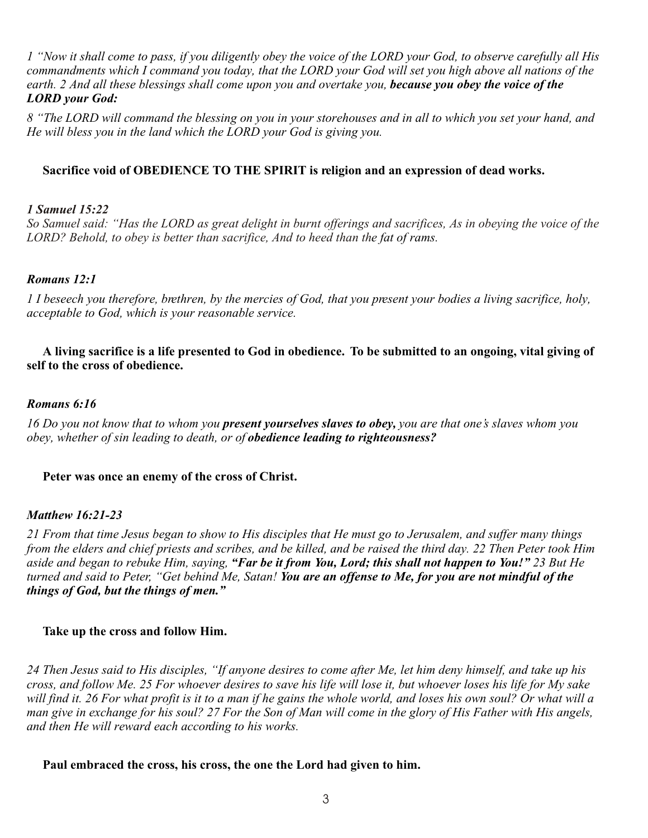*1 "Now it shall come to pass, if you diligently obey the voice of the LORD your God, to observe carefully all His commandments which I command you today, that the LORD your God will set you high above all nations of the earth. 2 And all these blessings shall come upon you and overtake you, because you obey the voice of the LORD your God:*

*8 "The LORD will command the blessing on you in your storehouses and in all to which you set your hand, and He will bless you in the land which the LORD your God is giving you.* 

# **Sacrifice void of OBEDIENCE TO THE SPIRIT is religion and an expression of dead works.**

### *1 Samuel 15:22*

LORD? Behold, to obey is better than sacrifice, And to heed than the fat of rams. *So Samuel said: "Has the LORD as great delight in burnt offerings and sacrifices, As in obeying the voice of the* 

### *Romans 12:1*

*1 I beseech you therefore, brethren, by the mercies of God, that you present your bodies a living sacrifice, holy, acceptable to God, which is your reasonable service.* 

 **A living sacrifice is a life presented to God in obedience. To be submitted to an ongoing, vital giving of self to the cross of obedience.**

#### *Romans 6:16*

*16 Do you not know that to whom you present yourselves slaves to obey, you are that one's slaves whom you obey, whether of sin leading to death, or of obedience leading to righteousness?*

#### **Peter was once an enemy of the cross of Christ.**

### *Matthew 16:21-23*

*21 From that time Jesus began to show to His disciples that He must go to Jerusalem, and suffer many things from the elders and chief priests and scribes, and be killed, and be raised the third day. 22 Then Peter took Him aside and began to rebuke Him, saying, "Far be it from You, Lord; this shall not happen to You!" 23 But He turned and said to Peter, "Get behind Me, Satan! You are an offense to Me, for you are not mindful of the things of God, but the things of men."* 

#### **Take up the cross and follow Him.**

*24 Then Jesus said to His disciples, "If anyone desires to come after Me, let him deny himself, and take up his cross, and follow Me. 25 For whoever desires to save his life will lose it, but whoever loses his life for My sake*  will find it. 26 For what profit is it to a man if he gains the whole world, and loses his own soul? Or what will a man give in exchange for his soul? 27 For the Son of Man will come in the glory of His Father with His angels, *and then He will reward each according to his works.*

#### **Paul embraced the cross, his cross, the one the Lord had given to him.**